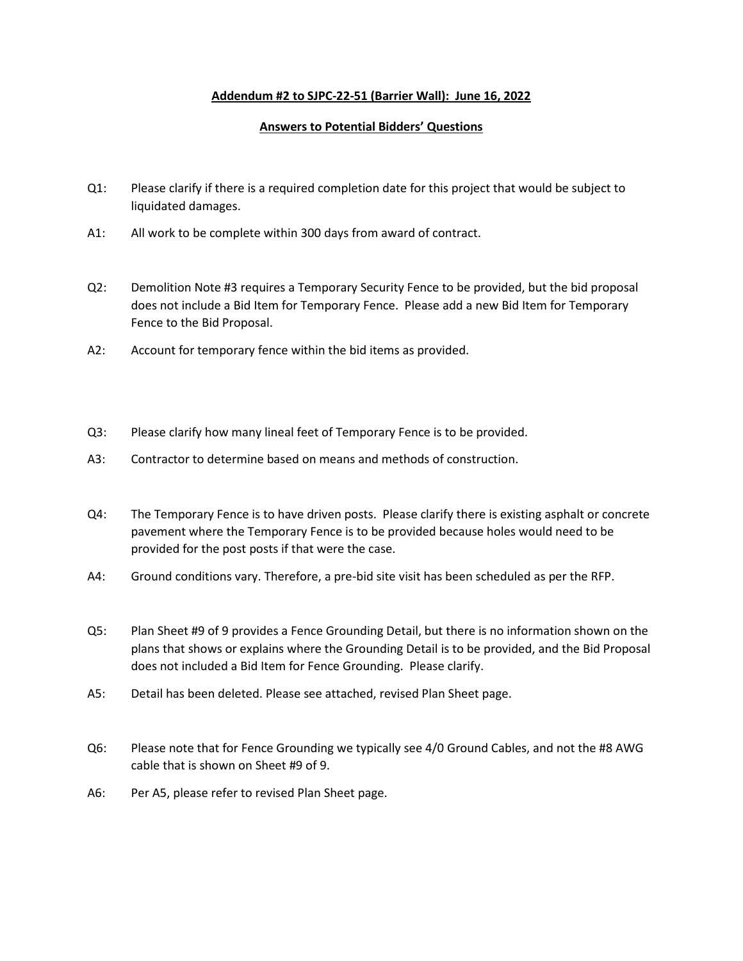## **Addendum #2 to SJPC-22-51 (Barrier Wall): June 16, 2022**

## **Answers to Potential Bidders' Questions**

- Q1: Please clarify if there is a required completion date for this project that would be subject to liquidated damages.
- A1: All work to be complete within 300 days from award of contract.
- Q2: Demolition Note #3 requires a Temporary Security Fence to be provided, but the bid proposal does not include a Bid Item for Temporary Fence. Please add a new Bid Item for Temporary Fence to the Bid Proposal.
- A2: Account for temporary fence within the bid items as provided.
- Q3: Please clarify how many lineal feet of Temporary Fence is to be provided.
- A3: Contractor to determine based on means and methods of construction.
- Q4: The Temporary Fence is to have driven posts. Please clarify there is existing asphalt or concrete pavement where the Temporary Fence is to be provided because holes would need to be provided for the post posts if that were the case.
- A4: Ground conditions vary. Therefore, a pre-bid site visit has been scheduled as per the RFP.
- Q5: Plan Sheet #9 of 9 provides a Fence Grounding Detail, but there is no information shown on the plans that shows or explains where the Grounding Detail is to be provided, and the Bid Proposal does not included a Bid Item for Fence Grounding. Please clarify.
- A5: Detail has been deleted. Please see attached, revised Plan Sheet page.
- Q6: Please note that for Fence Grounding we typically see 4/0 Ground Cables, and not the #8 AWG cable that is shown on Sheet #9 of 9.
- A6: Per A5, please refer to revised Plan Sheet page.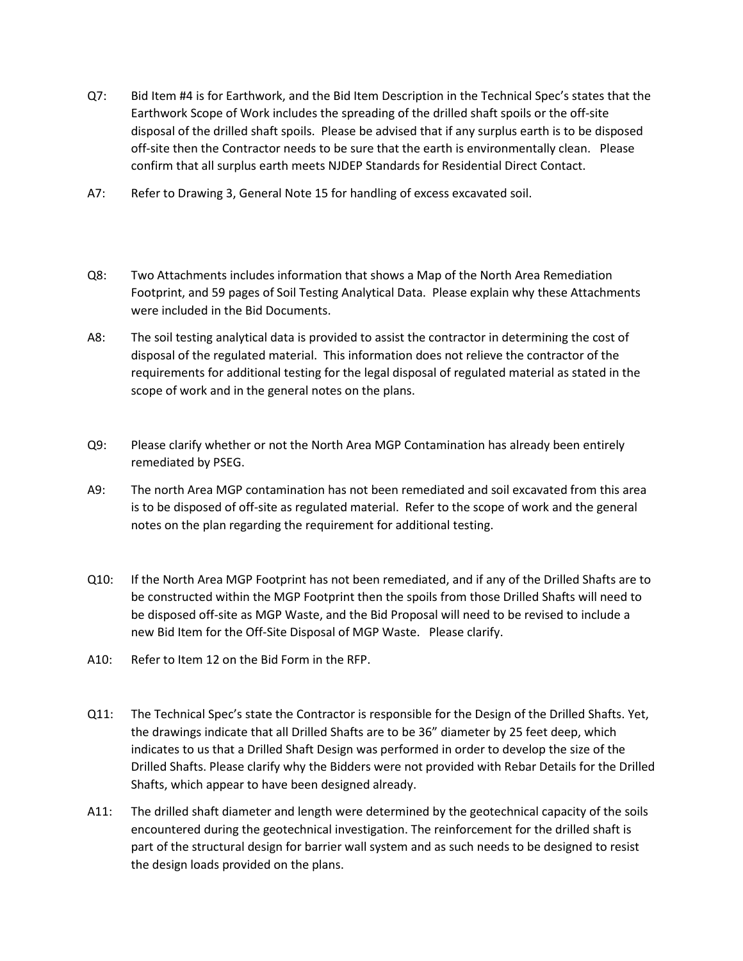- Q7: Bid Item #4 is for Earthwork, and the Bid Item Description in the Technical Spec's states that the Earthwork Scope of Work includes the spreading of the drilled shaft spoils or the off-site disposal of the drilled shaft spoils. Please be advised that if any surplus earth is to be disposed off-site then the Contractor needs to be sure that the earth is environmentally clean. Please confirm that all surplus earth meets NJDEP Standards for Residential Direct Contact.
- A7: Refer to Drawing 3, General Note 15 for handling of excess excavated soil.
- Q8: Two Attachments includes information that shows a Map of the North Area Remediation Footprint, and 59 pages of Soil Testing Analytical Data. Please explain why these Attachments were included in the Bid Documents.
- A8: The soil testing analytical data is provided to assist the contractor in determining the cost of disposal of the regulated material. This information does not relieve the contractor of the requirements for additional testing for the legal disposal of regulated material as stated in the scope of work and in the general notes on the plans.
- Q9: Please clarify whether or not the North Area MGP Contamination has already been entirely remediated by PSEG.
- A9: The north Area MGP contamination has not been remediated and soil excavated from this area is to be disposed of off-site as regulated material. Refer to the scope of work and the general notes on the plan regarding the requirement for additional testing.
- Q10: If the North Area MGP Footprint has not been remediated, and if any of the Drilled Shafts are to be constructed within the MGP Footprint then the spoils from those Drilled Shafts will need to be disposed off-site as MGP Waste, and the Bid Proposal will need to be revised to include a new Bid Item for the Off-Site Disposal of MGP Waste. Please clarify.
- A10: Refer to Item 12 on the Bid Form in the RFP.
- Q11: The Technical Spec's state the Contractor is responsible for the Design of the Drilled Shafts. Yet, the drawings indicate that all Drilled Shafts are to be 36" diameter by 25 feet deep, which indicates to us that a Drilled Shaft Design was performed in order to develop the size of the Drilled Shafts. Please clarify why the Bidders were not provided with Rebar Details for the Drilled Shafts, which appear to have been designed already.
- A11: The drilled shaft diameter and length were determined by the geotechnical capacity of the soils encountered during the geotechnical investigation. The reinforcement for the drilled shaft is part of the structural design for barrier wall system and as such needs to be designed to resist the design loads provided on the plans.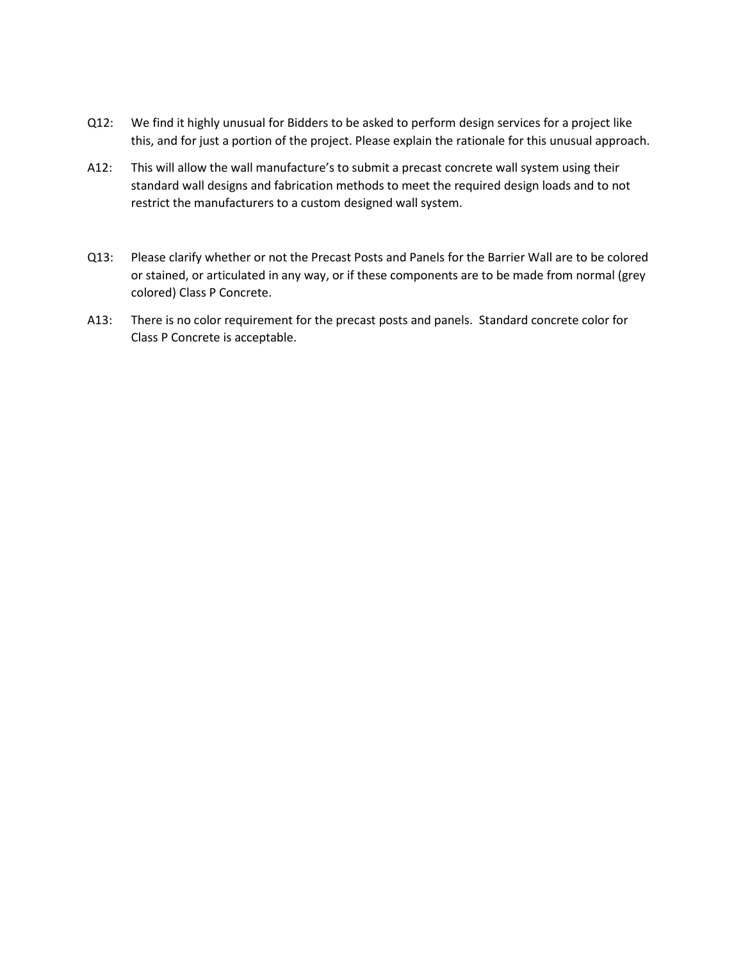- Q12: We find it highly unusual for Bidders to be asked to perform design services for a project like this, and for just a portion of the project. Please explain the rationale for this unusual approach.
- A12: This will allow the wall manufacture's to submit a precast concrete wall system using their standard wall designs and fabrication methods to meet the required design loads and to not restrict the manufacturers to a custom designed wall system.
- Q13: Please clarify whether or not the Precast Posts and Panels for the Barrier Wall are to be colored or stained, or articulated in any way, or if these components are to be made from normal (grey colored) Class P Concrete.
- A13: There is no color requirement for the precast posts and panels. Standard concrete color for Class P Concrete is acceptable.